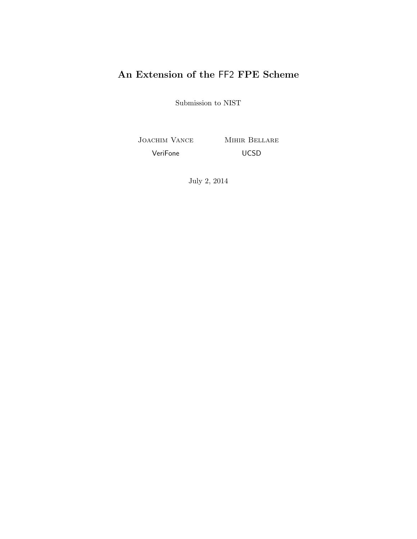# An Extension of the FF2 FPE Scheme

Submission to NIST

Joachim Vance Mihir Bellare VeriFone UCSD

July 2, 2014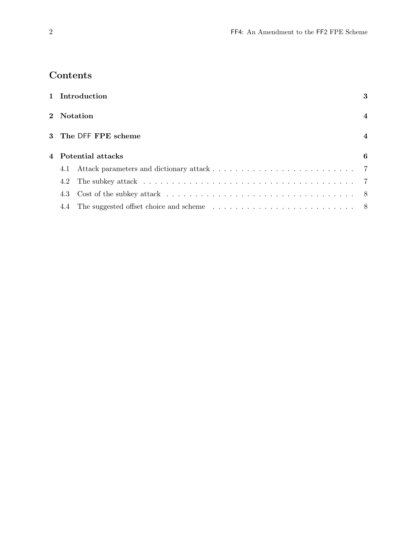# Contents

|     | 1 Introduction                                                                                           | 3                       |  |
|-----|----------------------------------------------------------------------------------------------------------|-------------------------|--|
|     | 2 Notation                                                                                               | $\overline{\mathbf{4}}$ |  |
|     | 3 The DFF FPE scheme                                                                                     | $\overline{\mathbf{4}}$ |  |
|     | 4 Potential attacks<br>6                                                                                 |                         |  |
| 4.1 |                                                                                                          |                         |  |
| 4.2 |                                                                                                          |                         |  |
| 4.3 | Cost of the subkey attack $\ldots \ldots \ldots \ldots \ldots \ldots \ldots \ldots \ldots \ldots \ldots$ |                         |  |
| 4.4 |                                                                                                          |                         |  |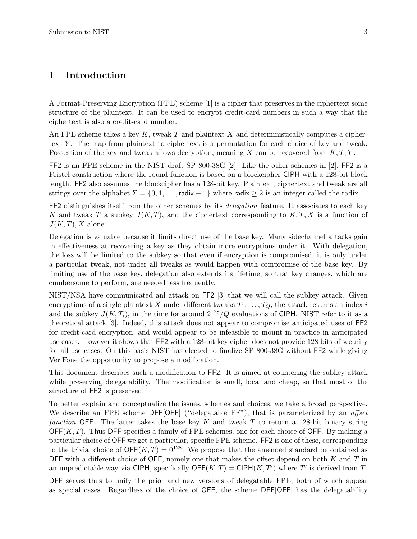### 1 Introduction

A Format-Preserving Encryption (FPE) scheme [1] is a cipher that preserves in the ciphertext some structure of the plaintext. It can be used to encrypt credit-card numbers in such a way that the ciphertext is also a credit-card number.

An FPE scheme takes a key K, tweak T and plaintext X and deterministically computes a ciphertext Y. The map from plaintext to ciphertext is a permutation for each choice of key and tweak. Possession of the key and tweak allows decryption, meaning X can be recovered from  $K, T, Y$ .

FF2 is an FPE scheme in the NIST draft SP 800-38G [2]. Like the other schemes in [2], FF2 is a Feistel construction where the round function is based on a blockcipher CIPH with a 128-bit block length. FF2 also assumes the blockcipher has a 128-bit key. Plaintext, ciphertext and tweak are all strings over the alphabet  $\Sigma = \{0, 1, \ldots, \text{radix} - 1\}$  where radix  $\geq 2$  is an integer called the radix.

FF2 distinguishes itself from the other schemes by its *delegation* feature. It associates to each key K and tweak T a subkey  $J(K,T)$ , and the ciphertext corresponding to  $K, T, X$  is a function of  $J(K,T), X$  alone.

Delegation is valuable because it limits direct use of the base key. Many sidechannel attacks gain in effectiveness at recovering a key as they obtain more encryptions under it. With delegation, the loss will be limited to the subkey so that even if encryption is compromised, it is only under a particular tweak, not under all tweaks as would happen with compromise of the base key. By limiting use of the base key, delegation also extends its lifetime, so that key changes, which are cumbersome to perform, are needed less frequently.

NIST/NSA have communicated anl attack on FF2 [3] that we will call the subkey attack. Given encryptions of a single plaintext X under different tweaks  $T_1, \ldots, T_Q$ , the attack returns an index i and the subkey  $J(K,T_i)$ , in the time for around  $2^{128}/Q$  evaluations of CIPH. NIST refer to it as a theoretical attack [3]. Indeed, this attack does not appear to compromise anticipated uses of FF2 for credit-card encryption, and would appear to be infeasible to mount in practice in anticipated use cases. However it shows that FF2 with a 128-bit key cipher does not provide 128 bits of security for all use cases. On this basis NIST has elected to finalize SP 800-38G without FF2 while giving VeriFone the opportunity to propose a modification.

This document describes such a modification to FF2. It is aimed at countering the subkey attack while preserving delegatability. The modification is small, local and cheap, so that most of the structure of FF2 is preserved.

To better explain and conceptualize the issues, schemes and choices, we take a broad perspective. We describe an FPE scheme DFF[OFF] ("delegatable FF"), that is parameterized by an offset function OFF. The latter takes the base key K and tweak T to return a 128-bit binary string  $\mathsf{OFF}(K,T)$ . Thus DFF specifies a family of FPE schemes, one for each choice of OFF. By making a particular choice of OFF we get a particular, specific FPE scheme. FF2 is one of these, corresponding to the trivial choice of  $\mathsf{OFF}(K,T) = 0^{128}$ . We propose that the amended standard be obtained as DFF with a different choice of OFF, namely one that makes the offset depend on both  $K$  and  $T$  in an unpredictable way via CIPH, specifically  $\mathsf{OFF}(K,T) = \mathsf{CIPH}(K,T')$  where T' is derived from T.

DFF serves thus to unify the prior and new versions of delegatable FPE, both of which appear as special cases. Regardless of the choice of OFF, the scheme DFF[OFF] has the delegatability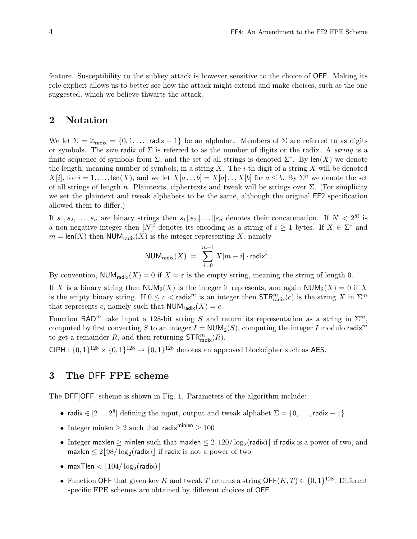feature. Susceptibility to the subkey attack is however sensitive to the choice of OFF. Making its role explicit allows us to better see how the attack might extend and make choices, such as the one suggested, which we believe thwarts the attack.

### 2 Notation

We let  $\Sigma = \mathbb{Z}_{\text{radix}} = \{0, 1, \ldots, \text{radix} - 1\}$  be an alphabet. Members of  $\Sigma$  are referred to as digits or symbols. The size radix of  $\Sigma$  is referred to as the number of digits or the radix. A *string* is a finite sequence of symbols from  $\Sigma$ , and the set of all strings is denoted  $\Sigma^*$ . By len(X) we denote the length, meaning number of symbols, in a string  $X$ . The *i*-th digit of a string  $X$  will be denoted  $X[i]$ , for  $i = 1, \ldots$ , len(X), and we let  $X[a \ldots b] = X[a] \ldots X[b]$  for  $a \leq b$ . By  $\Sigma^n$  we denote the set of all strings of length n. Plaintexts, ciphertexts and tweak will be strings over  $\Sigma$ . (For simplicity we set the plaintext and tweak alphabets to be the same, although the original FF2 specification allowed them to differ.)

If  $s_1, s_2, \ldots, s_n$  are binary strings then  $s_1 || s_2 || \ldots || s_n$  denotes their concatenation. If  $N < 2^{8i}$  is a non-negative integer then  $[N]^i$  denotes its encoding as a string of  $i \geq 1$  bytes. If  $X \in \Sigma^*$  and  $m = \text{len}(X)$  then NUM<sub>radix</sub> $(X)$  is the integer representing X, namely

$$
\text{NUM}_{\text{radix}}(X) \;=\; \sum_{i=0}^{m-1} X[m-i] \cdot \text{radix}^i\;.
$$

By convention,  $\text{NUM}_{\text{radix}}(X) = 0$  if  $X = \varepsilon$  is the empty string, meaning the string of length 0.

If X is a binary string then  $\mathsf{NUM}_2(X)$  is the integer it represents, and again  $\mathsf{NUM}_2(X) = 0$  if X is the empty binary string. If  $0 \le c < \text{radix}^m$  is an integer then  $\text{STR}_{\text{radix}}^m(c)$  is the string X in  $\Sigma^m$ that represents c, namely such that  $NUM_{\text{radix}}(X) = c$ .

Function RAD<sup>m</sup> take input a 128-bit string S and return its representation as a string in  $\Sigma^m$ . computed by first converting S to an integer  $I = NUM_2(S)$ , computing the integer I modulo radix<sup>m</sup> to get a remainder  $R$ , and then returning  $\mathsf{STR}_{\mathsf{radix}}^m(R)$ .

CIPH :  $\{0,1\}^{128} \times \{0,1\}^{128} \rightarrow \{0,1\}^{128}$  denotes an approved blockcipher such as AES.

## 3 The DFF FPE scheme

The DFF[OFF] scheme is shown in Fig. 1. Parameters of the algorithm include:

- radix  $\in [2...2^8]$  defining the input, output and tweak alphabet  $\Sigma = \{0, ...,$  radix 1}
- Integer minlen  $\geq 2$  such that radix<sup>minlen</sup>  $\geq 100$
- Integer maxlen  $\geq$  minlen such that maxlen  $\leq 2\lfloor 120/\log_2(\text{radix}) \rfloor$  if radix is a power of two, and maxlen  $\leq 2\lfloor 98/\log_2(\textsf{radix}) \rfloor$  if radix is not a power of two
- $\bullet \;$  max $\sf{Then} < \lfloor 104/\log_2(\sf{radix}) \rfloor$
- Function OFF that given key K and tweak T returns a string OFF $(K, T) \in \{0, 1\}^{128}$ . Different specific FPE schemes are obtained by different choices of OFF.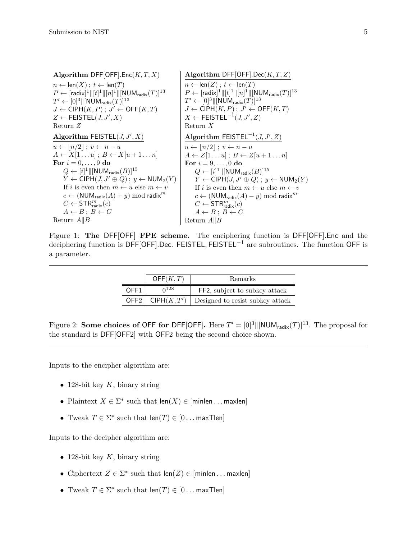| Algorithm DFF[OFF].Enc $(K, T, X)$                                          | Algorithm DFF[OFF].Dec( $K, T, Z$ )                                         |
|-----------------------------------------------------------------------------|-----------------------------------------------------------------------------|
| $n \leftarrow \text{len}(X)$ ; $t \leftarrow \text{len}(T)$                 | $n \leftarrow \text{len}(Z)$ ; $t \leftarrow \text{len}(T)$                 |
| $P \leftarrow [radix]^1    [t]^1    [n]^1    [NUM_{radix}(T)]^{13}]$        | $P \leftarrow [radix]^1    [t]^1    [n]^1    [NUM_{radix}(T)]^{13}]$        |
| $T' \leftarrow [0]^3 \ \text{[NUM}_{\text{radix}}(T)\ ^{\text{13}}$         | $T' \leftarrow [0]^3   [NUM_{\text{radix}}(T)]^{13}$                        |
| $J \leftarrow \text{CIPH}(K, P); J' \leftarrow \text{OFF}(K, T)$            | $J \leftarrow \text{CIPH}(K, P); J' \leftarrow \text{OFF}(K, T)$            |
| $Z \leftarrow \mathsf{FEISTEL}(J, J', X)$                                   | $X \leftarrow \textsf{FEISTEL}^{-1}(J, J', Z)$                              |
| Return Z                                                                    | Return $X$                                                                  |
| Algorithm FEISTEL( $J, J', X$ )                                             | Algorithm FEISTEL <sup><math>-1</math></sup> $(J, J', Z)$                   |
| $u \leftarrow  n/2 $ ; $v \leftarrow n - u$                                 | $u \leftarrow  n/2 $ ; $v \leftarrow n - u$                                 |
| $A \leftarrow X[1 \dots u]; B \leftarrow X[u+1 \dots n]$                    | $A \leftarrow Z[1 \dots u]$ ; $B \leftarrow Z[u+1 \dots n]$                 |
| For $i = 0, \ldots, 9$ do                                                   | For $i = 9, \ldots, 0$ do                                                   |
| $Q \leftarrow [i]^1 \ \text{[NUM}_{\text{radix}}(B)\ ^{15}$                 | $Q \leftarrow [i]^1 \ \text{[NUM}_{\text{radix}}(B)\ ^{15}$                 |
| $Y \leftarrow \text{CIPH}(J, J' \oplus Q)$ ; $y \leftarrow \text{NUM}_2(Y)$ | $Y \leftarrow \text{CIPH}(J, J' \oplus Q)$ ; $y \leftarrow \text{NUM}_2(Y)$ |
| If i is even then $m \leftarrow u$ else $m \leftarrow v$                    | If i is even then $m \leftarrow u$ else $m \leftarrow v$                    |
| $c \leftarrow (NUM_{\text{radix}}(A) + y) \text{ mod } \text{radix}^m$      | $c \leftarrow (NUM_{\text{radix}}(A) - y) \text{ mod } \text{radix}^m$      |
| $C \leftarrow \mathsf{STR}^m_{\mathsf{radix}}(c)$                           | $C \leftarrow \mathsf{STR}^m_{\text{radix}}(c)$                             |
| $A \leftarrow B$ ; $B \leftarrow C$                                         | $A \leftarrow B$ ; $B \leftarrow C$                                         |
| Return $A  B$                                                               | Return $A  B$                                                               |

Figure 1: The DFF[OFF] FPE scheme. The enciphering function is DFF[OFF].Enc and the deciphering function is DFF[OFF].Dec. FEISTEL, FEISTEL<sup>-1</sup> are subroutines. The function OFF is a parameter.

|                  | OFF(K,T)  | Remarks                                                         |
|------------------|-----------|-----------------------------------------------------------------|
| OFF <sub>1</sub> | $0^{128}$ | FF2, subject to subkey attack                                   |
|                  |           | <b>OFF2</b>   CIPH $(K, T')$   Designed to resist subkey attack |

Figure 2: Some choices of OFF for DFF[OFF]. Here  $T' = [0]^3 \|[NUM_{\text{radix}}(T)]^{13}$ . The proposal for the standard is DFF[OFF2] with OFF2 being the second choice shown.

Inputs to the encipher algorithm are:

- 128-bit key  $K$ , binary string
- Plaintext  $X \in \Sigma^*$  such that  $len(X) \in [minlen \dots maxlen]$
- Tweak  $T \in \Sigma^*$  such that  $\text{len}(T) \in [0 \dots \text{maxTlen}]$

Inputs to the decipher algorithm are:

- 128-bit key  $K$ , binary string
- Ciphertext  $Z \in \Sigma^*$  such that  $len(Z) \in [minlen \dots maxlen]$
- Tweak  $T \in \Sigma^*$  such that  $\text{len}(T) \in [0 \dots \text{maxTlen}]$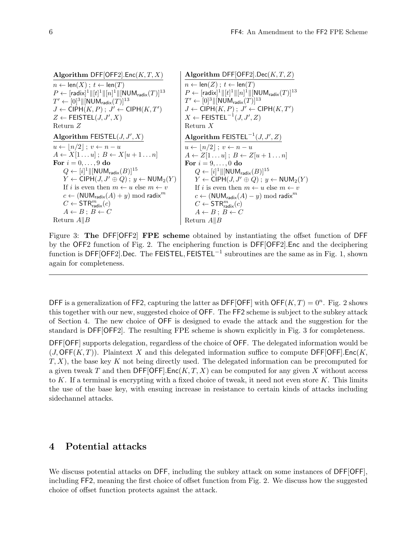Algorithm DFF[OFF2].Enc( $K, T, X$ )  $n \leftarrow \text{len}(X)$ ;  $t \leftarrow \text{len}(T)$  $P \leftarrow [\mathsf{radix}]^1 \|[t]^1\|[n]^1\|[{\sf NUM}_{\mathsf{radix}}(T)]^{13}$  $T' \leftarrow [0]^3 \lVert [\mathsf{NUM}_\mathsf{radix}(T)]^{13}$  $J \leftarrow \textsf{CIPH}(K,P)$ ;  $J' \leftarrow \textsf{CIPH}(K,T')$  $Z \leftarrow \mathsf{FEISTEL}(J, J', X)$ Return Z Algorithm FEISTEL( $J, J', X$ )  $u \leftarrow |n/2|$ ;  $v \leftarrow n - u$  $A \leftarrow X[1 \dots u]$ ;  $B \leftarrow X[u+1 \dots n]$ For  $i = 0, \ldots, 9$  do  $Q \leftarrow [i]^1 \|[{\sf NUM}_{\sf radix}(B)]^{15}$  $Y \leftarrow \text{CIPH}(J, J' \oplus Q)$ ;  $y \leftarrow \text{NUM}_2(Y)$ If i is even then  $m \leftarrow u$  else  $m \leftarrow v$  $c \leftarrow (NUM_{\text{radix}}(A) + y) \text{ mod } \text{radix}^m$  $C \leftarrow \mathsf{STR}^m_\mathsf{radix}(c)$  $A \leftarrow B$ ;  $B \leftarrow C$ Return  $A||B$ Algorithm DFF[OFF2].Dec( $K, T, Z$ )  $n \leftarrow \text{len}(Z)$ ;  $t \leftarrow \text{len}(T)$  $P \leftarrow [\mathsf{radix}]^1 \|[t]^1\|[n]^1\|[{\sf NUM}_{\mathsf{radix}}(T)]^{13}$  $T' \leftarrow [0]^3 \|[{\sf NUM}_{\sf radix}(T)]^{13}$  $J \leftarrow \textsf{CIPH}(K,P)$ ;  $J' \leftarrow \textsf{CIPH}(K,T')$  $X \leftarrow \mathsf{FEISTEL}^{-1}(J,J',Z)$ Return X Algorithm  $\mathsf{FEISTEL}^{-1}(J,J',Z)$  $u \leftarrow |n/2|$ ;  $v \leftarrow n - u$  $A \leftarrow Z[1 \dots u]$ ;  $B \leftarrow Z[u+1 \dots n]$ For  $i = 9, \ldots, 0$  do  $Q \leftarrow [i]^1 \Vert [\mathsf{NUM}_\mathsf{radix}(B)]^{15}$  $Y \leftarrow \text{CIPH}(J, J' \oplus Q)$ ;  $y \leftarrow \text{NUM}_2(Y)$ If *i* is even then  $m \leftarrow u$  else  $m \leftarrow v$  $c$  ← (NUM<sub>radix</sub>(A) – y) mod radix<sup>m</sup>  $C \leftarrow \mathsf{STR}^m_\mathsf{radix}(c)$  $A \leftarrow B$ ;  $B \leftarrow C$ Return  $A||B$ 

Figure 3: The DFF[OFF2] FPE scheme obtained by instantiating the offset function of DFF by the OFF2 function of Fig. 2. The enciphering function is DFF[OFF2].Enc and the deciphering function is DFF[OFF2].Dec. The FEISTEL, FEISTEL<sup>-1</sup> subroutines are the same as in Fig. 1, shown again for completeness.

DFF is a generalization of FF2, capturing the latter as DFF[OFF] with OFF $(K, T) = 0<sup>n</sup>$ . Fig. 2 shows this together with our new, suggested choice of OFF. The FF2 scheme is subject to the subkey attack of Section 4. The new choice of OFF is designed to evade the attack and the suggestion for the standard is DFF[OFF2]. The resulting FPE scheme is shown explicitly in Fig. 3 for completeness.

DFF[OFF] supports delegation, regardless of the choice of OFF. The delegated information would be  $(J, \text{OFF}(K, T))$ . Plaintext X and this delegated information suffice to compute DFF[OFF]. Enc(K,  $T, X$ , the base key K not being directly used. The delegated information can be precomputed for a given tweak T and then  $\mathsf{DFF}[\mathsf{OFF}]$ . Enc $(K, T, X)$  can be computed for any given X without access to K. If a terminal is encrypting with a fixed choice of tweak, it need not even store  $K$ . This limits the use of the base key, with ensuing increase in resistance to certain kinds of attacks including sidechannel attacks.

# 4 Potential attacks

We discuss potential attacks on DFF, including the subkey attack on some instances of DFF[OFF], including FF2, meaning the first choice of offset function from Fig. 2. We discuss how the suggested choice of offset function protects against the attack.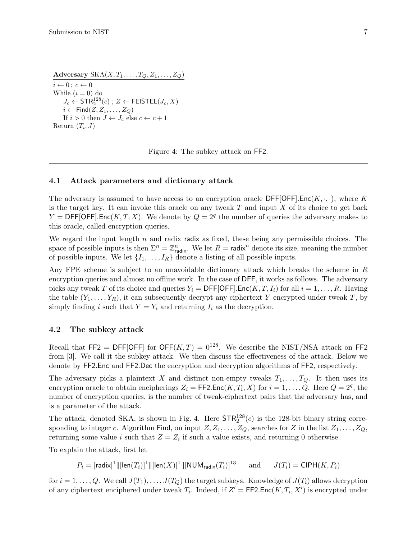Adversary  $SKA(X, T_1, \ldots, T_Q, Z_1, \ldots, Z_Q)$ 

 $i \leftarrow 0$ ;  $c \leftarrow 0$ While  $(i = 0)$  do  $J_c \leftarrow \mathsf{STR}^{128}_2(c)$  ;  $Z \leftarrow \mathsf{FElSTEL}(J_c, X)$  $i \leftarrow$  Find $(Z, Z_1, \ldots, Z_Q)$ If  $i > 0$  then  $J \leftarrow J_c$  else  $c \leftarrow c + 1$ Return  $(T_i, J)$ 

Figure 4: The subkey attack on FF2.

#### 4.1 Attack parameters and dictionary attack

The adversary is assumed to have access to an encryption oracle  $\mathsf{DFF}[\mathsf{OFF}]$ . Enc $(K, \cdot, \cdot)$ , where K is the target key. It can invoke this oracle on any tweak  $T$  and input  $X$  of its choice to get back  $Y = \mathsf{DFF}[\mathsf{OFF}].\mathsf{Enc}(K, T, X)$ . We denote by  $Q = 2^q$  the number of queries the adversary makes to this oracle, called encryption queries.

We regard the input length  $n$  and radix radix as fixed, these being any permissible choices. The space of possible inputs is then  $\Sigma^n = \mathbb{Z}_{\text{radix}}^n$ . We let  $R = \text{radix}^n$  denote its size, meaning the number of possible inputs. We let  $\{I_1, \ldots, I_R\}$  denote a listing of all possible inputs.

Any FPE scheme is subject to an unavoidable dictionary attack which breaks the scheme in R encryption queries and almost no offline work. In the case of DFF, it works as follows. The adversary picks any tweak T of its choice and queries  $Y_i = \text{DFF}[\text{OFF}]$ . Enc $(K, T, I_i)$  for all  $i = 1, ..., R$ . Having the table  $(Y_1, \ldots, Y_R)$ , it can subsequently decrypt any ciphertext Y encrypted under tweak T, by simply finding i such that  $Y = Y_i$  and returning  $I_i$  as the decryption.

#### 4.2 The subkey attack

Recall that FF2 = DFF[OFF] for OFF $(K, T) = 0^{128}$ . We describe the NIST/NSA attack on FF2 from [3]. We call it the subkey attack. We then discuss the effectiveness of the attack. Below we denote by FF2.Enc and FF2.Dec the encryption and decryption algorithms of FF2, respectively.

The adversary picks a plaintext X and distinct non-empty tweaks  $T_1, \ldots, T_Q$ . It then uses its encryption oracle to obtain encipherings  $Z_i = \mathsf{FF2}.\mathsf{Enc}(K, T_i, X)$  for  $i = 1, \ldots, Q$ . Here  $Q = 2^q$ , the number of encryption queries, is the number of tweak-ciphertext pairs that the adversary has, and is a parameter of the attack.

The attack, denoted SKA, is shown in Fig. 4. Here  $\mathsf{STR}^{128}_2(c)$  is the 128-bit binary string corresponding to integer c. Algorithm Find, on input  $Z, Z_1, \ldots, Z_Q$ , searches for Z in the list  $Z_1, \ldots, Z_Q$ , returning some value i such that  $Z = Z_i$  if such a value exists, and returning 0 otherwise.

To explain the attack, first let

 $P_i = [\mathsf{radix}]^1 \lVert [\mathsf{len}(T_i)]^1 \lVert [\mathsf{len}(X)]^1$ and  $J(T_i) = \text{CIPH}(K, P_i)$ 

for  $i = 1, \ldots, Q$ . We call  $J(T_1), \ldots, J(T_Q)$  the target subkeys. Knowledge of  $J(T_i)$  allows decryption of any ciphertext enciphered under tweak  $T_i$ . Indeed, if  $Z' = \mathsf{FF2}.\mathsf{Enc}(K, T_i, X')$  is encrypted under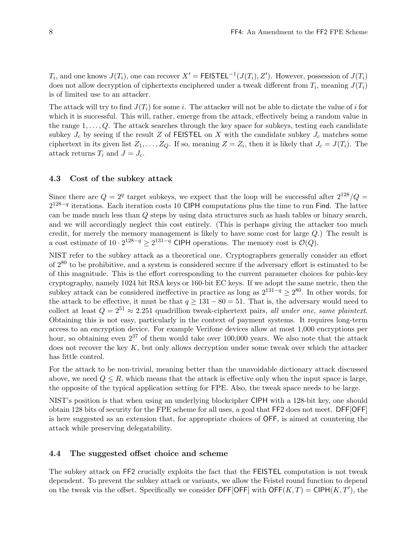$T_i$ , and one knows  $J(T_i)$ , one can recover  $X' = \textsf{FEISTEL}^{-1}(J(T_i), Z')$ . However, possession of  $J(T_i)$ does not allow decryption of ciphertexts enciphered under a tweak different from  $T_i$ , meaning  $J(T_i)$ is of limited use to an attacker.

The attack will try to find  $J(T_i)$  for some i. The attacker will not be able to dictate the value of i for which it is successful. This will, rather, emerge from the attack, effectively being a random value in the range  $1, \ldots, Q$ . The attack searches through the key space for subkeys, testing each candidate subkey  $J_c$  by seeing if the result Z of FEISTEL on X with the candidate subkey  $J_c$  matches some ciphertext in its given list  $Z_1, \ldots, Z_Q$ . If so, meaning  $Z = Z_i$ , then it is likely that  $J_c = J(T_i)$ . The attack returns  $T_i$  and  $J = J_c$ .

#### 4.3 Cost of the subkey attack

Since there are  $Q = 2<sup>q</sup>$  target subkeys, we expect that the loop will be successful after  $2<sup>128</sup>/Q =$  $2^{128-q}$  iterations. Each iteration costs 10 CIPH computations plus the time to run Find. The latter can be made much less than Q steps by using data structures such as hash tables or binary search, and we will accordingly neglect this cost entirely. (This is perhaps giving the attacker too much credit, for merely the memory management is likely to have some cost for large Q.) The result is a cost estimate of  $10 \cdot 2^{128-q} \geq 2^{131-q}$  CIPH operations. The memory cost is  $\mathcal{O}(Q)$ .

NIST refer to the subkey attack as a theoretical one. Cryptographers generally consider an effort of 2<sup>80</sup> to be prohibitive, and a system is considered secure if the adversary effort is estimated to be of this magnitude. This is the effort corresponding to the current parameter choices for pubic-key cryptography, namely 1024 bit RSA keys or 160-bit EC keys. If we adopt the same metric, then the subkey attack can be considered ineffective in practice as long as  $2^{131-q} \ge 2^{80}$ . In other words, for the attack to be effective, it must be that  $q \ge 131 - 80 = 51$ . That is, the adversary would need to collect at least  $Q = 2^{51} \approx 2.251$  quadrillion tweak-ciphertext pairs, all under one, same plaintext. Obtaining this is not easy, particularly in the context of payment systems. It requires long-term access to an encryption device. For example Verifone devices allow at most 1,000 encryptions per hour, so obtaining even  $2^{37}$  of them would take over 100,000 years. We also note that the attack does not recover the key  $K$ , but only allows decryption under some tweak over which the attacker has little control.

For the attack to be non-trivial, meaning better than the unavoidable dictionary attack discussed above, we need  $Q \leq R$ , which means that the attack is effective only when the input space is large, the opposite of the typical application setting for FPE. Also, the tweak space needs to be large.

NIST's position is that when using an underlying blockcipher CIPH with a 128-bit key, one should obtain 128 bits of security for the FPE scheme for all uses, a goal that FF2 does not meet. DFF[OFF] is here suggested as an extension that, for appropriate choices of OFF, is aimed at countering the attack while preserving delegatability.

#### 4.4 The suggested offset choice and scheme

The subkey attack on FF2 crucially exploits the fact that the FEISTEL computation is not tweak dependent. To prevent the subkey attack or variants, we allow the Feistel round function to depend on the tweak via the offset. Specifically we consider DFF[OFF] with  $\mathsf{OFF}(K,T) = \mathsf{CIPH}(K,T')$ , the